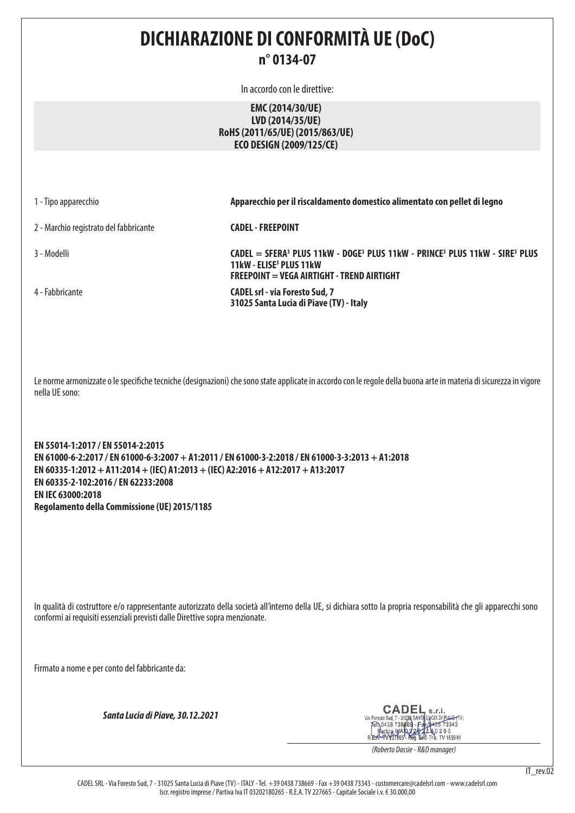## **DICHIARAZIONE DI CONFORMITÀ UE (DoC) n° 0134-07**

In accordo con le direttive:

## **EMC (2014/30/UE) LVD (2014/35/UE) RoHS (2011/65/UE) (2015/863/UE) ECO DESIGN (2009/125/CE)**

1 - Tipo apparecchio **Apparecchio per il riscaldamento domestico alimentato con pellet di legno**

2 - Marchio registrato del fabbricante **CADEL - FREEPOINT**

4 - Fabbricante **CADEL srl - via Foresto Sud, 7** 

3 - Modelli **CADEL = SFERA3 PLUS 11kW - DOGE3 PLUS 11kW - PRINCE3 PLUS 11kW - SIRE3 PLUS 11kW - ELISE3 PLUS 11kW FREEPOINT = VEGA AIRTIGHT - TREND AIRTIGHT**

**31025 Santa Lucia di Piave (TV) - Italy**

Le norme armonizzate o le specifiche tecniche (designazioni) che sono state applicate in accordo con le regole della buona arte in materia di sicurezza in vigore nella UE sono:

**EN 55014-1:2017 / EN 55014-2:2015 EN 61000-6-2:2017 / EN 61000-6-3:2007 + A1:2011 / EN 61000-3-2:2018 / EN 61000-3-3:2013 + A1:2018 EN 60335-1:2012 + A11:2014 + (IEC) A1:2013 + (IEC) A2:2016 + A12:2017 + A13:2017 EN 60335-2-102:2016 / EN 62233:2008 EN IEC 63000:2018 Regolamento della Commissione (UE) 2015/1185**

In qualità di costruttore e/o rappresentante autorizzato della società all'interno della UE, si dichiara sotto la propria responsabilità che gli apparecchi sono conformi ai requisiti essenziali previsti dalle Direttive sopra menzionate.

Firmato a nome e per conto del fabbricante da:

*Santa Lucia di Piave, 30.12.2021*

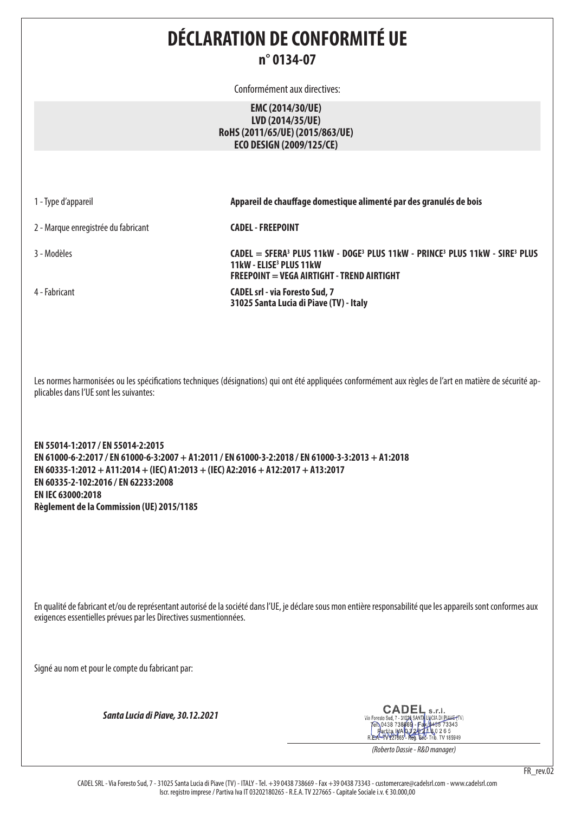# **DÉCLARATION DE CONFORMITÉ UE n° 0134-07**

Conformément aux directives:

## **EMC (2014/30/UE) LVD (2014/35/UE) RoHS (2011/65/UE) (2015/863/UE) ECO DESIGN (2009/125/CE)**

1 - Type d'appareil **Appareil de chauffage domestique alimenté par des granulés de bois**

2 - Marque enregistrée du fabricant **CADEL - FREEPOINT**

4 - Fabricant **CADEL srl - via Foresto Sud, 7** 

3 - Modèles **CADEL = SFERA3 PLUS 11kW - DOGE3 PLUS 11kW - PRINCE3 PLUS 11kW - SIRE3 PLUS 11kW - ELISE3 PLUS 11kW FREEPOINT = VEGA AIRTIGHT - TREND AIRTIGHT**

**31025 Santa Lucia di Piave (TV) - Italy**

Les normes harmonisées ou les spécifications techniques (désignations) qui ont été appliquées conformément aux règles de l'art en matière de sécurité applicables dans l'UE sont les suivantes:

**EN 55014-1:2017 / EN 55014-2:2015 EN 61000-6-2:2017 / EN 61000-6-3:2007 + A1:2011 / EN 61000-3-2:2018 / EN 61000-3-3:2013 + A1:2018 EN 60335-1:2012 + A11:2014 + (IEC) A1:2013 + (IEC) A2:2016 + A12:2017 + A13:2017 EN 60335-2-102:2016 / EN 62233:2008 EN IEC 63000:2018 Règlement de la Commission (UE) 2015/1185**

En qualité de fabricant et/ou de représentant autorisé de la société dans l'UE, je déclare sous mon entière responsabilité que les appareils sont conformes aux exigences essentielles prévues par les Directives susmentionnées.

Signé au nom et pour le compte du fabricant par:

*Santa Lucia di Piave, 30.12.2021*

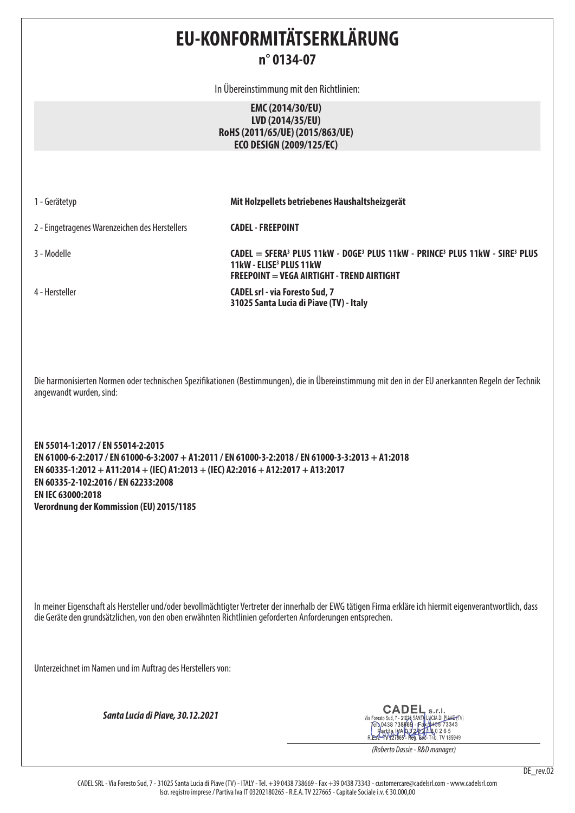# **EU-KONFORMITÄTSERKLÄRUNG n° 0134-07**

In Übereinstimmung mit den Richtlinien:

## **EMC (2014/30/EU) LVD (2014/35/EU) RoHS (2011/65/UE) (2015/863/UE) ECO DESIGN (2009/125/EC)**

1 - Gerätetyp **Mit Holzpellets betriebenes Haushaltsheizgerät**

2 - Eingetragenes Warenzeichen des Herstellers **CADEL - FREEPOINT**

3 - Modelle **CADEL = SFERA3 PLUS 11kW - DOGE3 PLUS 11kW - PRINCE3 PLUS 11kW - SIRE3 PLUS 11kW - ELISE3 PLUS 11kW FREEPOINT = VEGA AIRTIGHT - TREND AIRTIGHT** 4 - Hersteller **CADEL srl - via Foresto Sud, 7 31025 Santa Lucia di Piave (TV) - Italy**

Die harmonisierten Normen oder technischen Spezifikationen (Bestimmungen), die in Übereinstimmung mit den in der EU anerkannten Regeln der Technik angewandt wurden, sind:

**EN 55014-1:2017 / EN 55014-2:2015 EN 61000-6-2:2017 / EN 61000-6-3:2007 + A1:2011 / EN 61000-3-2:2018 / EN 61000-3-3:2013 + A1:2018 EN 60335-1:2012 + A11:2014 + (IEC) A1:2013 + (IEC) A2:2016 + A12:2017 + A13:2017 EN 60335-2-102:2016 / EN 62233:2008 EN IEC 63000:2018 Verordnung der Kommission (EU) 2015/1185**

In meiner Eigenschaft als Hersteller und/oder bevollmächtigter Vertreter der innerhalb der EWG tätigen Firma erkläre ich hiermit eigenverantwortlich, dass die Geräte den grundsätzlichen, von den oben erwähnten Richtlinien geforderten Anforderungen entsprechen.

Unterzeichnet im Namen und im Auftrag des Herstellers von:

*Santa Lucia di Piave, 30.12.2021*

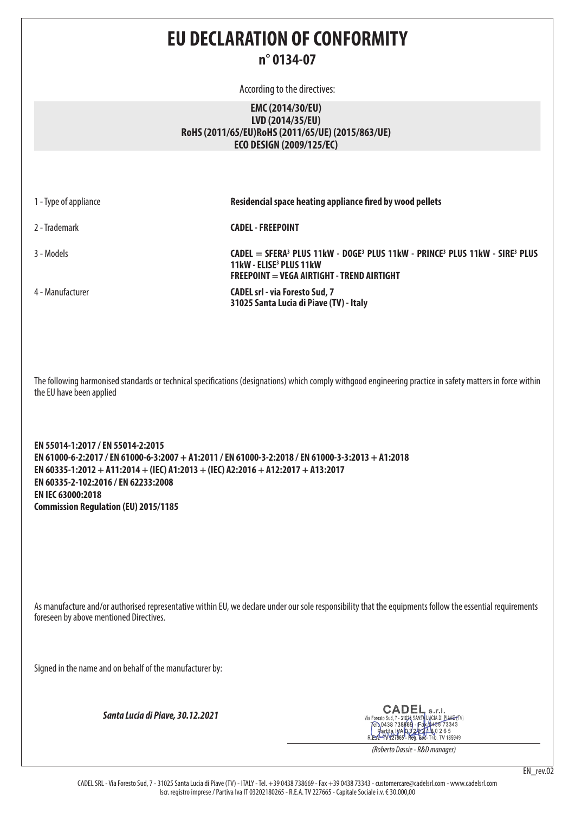# **EU DECLARATION OF CONFORMITY n° 0134-07**

According to the directives:

## **EMC (2014/30/EU) LVD (2014/35/EU) RoHS (2011/65/EU)RoHS (2011/65/UE) (2015/863/UE) ECO DESIGN (2009/125/EC)**

| 1 - Type of appliance | Residencial space heating appliance fired by wood pellets                                                                                                          |
|-----------------------|--------------------------------------------------------------------------------------------------------------------------------------------------------------------|
| 2 - Trademark         | <b>CADEL - FREEPOINT</b>                                                                                                                                           |
| 3 - Models            | $CADEL = SFERA3 PLUS 11kW - DOGE3 PLUS 11kW - PRINCE3 PLUS 11kW - SIRE3 PLUS$<br>11kW - ELISE <sup>3</sup> PLUS 11kW<br>FREEPOINT = VEGA AIRTIGHT - TREND AIRTIGHT |
| 4 - Manufacturer      | <b>CADEL srl - via Foresto Sud, 7</b><br>31025 Santa Lucia di Piave (TV) - Italy                                                                                   |

The following harmonised standards or technical specifications (designations) which comply withgood engineering practice in safety matters in force within the EU have been applied

**EN 55014-1:2017 / EN 55014-2:2015 EN 61000-6-2:2017 / EN 61000-6-3:2007 + A1:2011 / EN 61000-3-2:2018 / EN 61000-3-3:2013 + A1:2018 EN 60335-1:2012 + A11:2014 + (IEC) A1:2013 + (IEC) A2:2016 + A12:2017 + A13:2017 EN 60335-2-102:2016 / EN 62233:2008 EN IEC 63000:2018 Commission Regulation (EU) 2015/1185**

As manufacture and/or authorised representative within EU, we declare under our sole responsibility that the equipments follow the essential requirements foreseen by above mentioned Directives.

Signed in the name and on behalf of the manufacturer by:

*Santa Lucia di Piave, 30.12.2021*

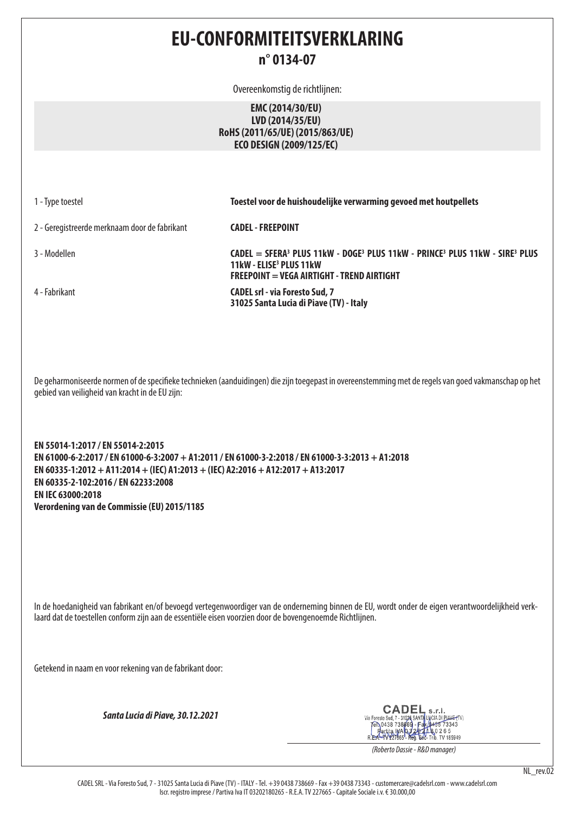## **EU-CONFORMITEITSVERKLARING n° 0134-07**

Overeenkomstig de richtlijnen:

## **EMC (2014/30/EU) LVD (2014/35/EU) RoHS (2011/65/UE) (2015/863/UE) ECO DESIGN (2009/125/EC)**

1 - Type toestel **Toestel voor de huishoudelijke verwarming gevoed met houtpellets**

2 - Geregistreerde merknaam door de fabrikant **CADEL - FREEPOINT**

4 - Fabrikant **CADEL srl - via Foresto Sud, 7** 

3 - Modellen **CADEL = SFERA3 PLUS 11kW - DOGE3 PLUS 11kW - PRINCE3 PLUS 11kW - SIRE3 PLUS 11kW - ELISE3 PLUS 11kW FREEPOINT = VEGA AIRTIGHT - TREND AIRTIGHT**

**31025 Santa Lucia di Piave (TV) - Italy**

De geharmoniseerde normen of de specifieke technieken (aanduidingen) die zijn toegepast in overeenstemming met de regels van goed vakmanschap op het gebied van veiligheid van kracht in de EU zijn:

**EN 55014-1:2017 / EN 55014-2:2015 EN 61000-6-2:2017 / EN 61000-6-3:2007 + A1:2011 / EN 61000-3-2:2018 / EN 61000-3-3:2013 + A1:2018 EN 60335-1:2012 + A11:2014 + (IEC) A1:2013 + (IEC) A2:2016 + A12:2017 + A13:2017 EN 60335-2-102:2016 / EN 62233:2008 EN IEC 63000:2018 Verordening van de Commissie (EU) 2015/1185**

In de hoedanigheid van fabrikant en/of bevoegd vertegenwoordiger van de onderneming binnen de EU, wordt onder de eigen verantwoordelijkheid verklaard dat de toestellen conform zijn aan de essentiële eisen voorzien door de bovengenoemde Richtlijnen.

Getekend in naam en voor rekening van de fabrikant door:

*Santa Lucia di Piave, 30.12.2021*

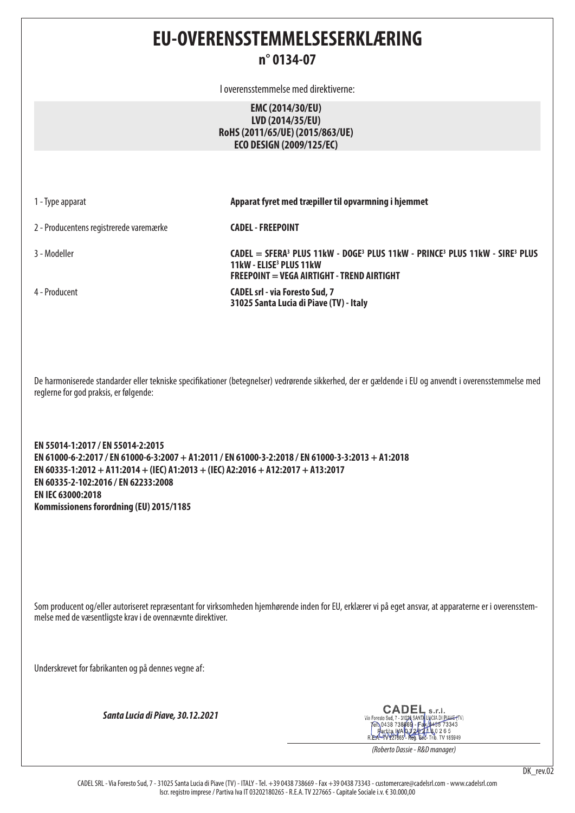## **EU-OVERENSSTEMMELSESERKLÆRING n° 0134-07**

I overensstemmelse med direktiverne:

## **EMC (2014/30/EU) LVD (2014/35/EU) RoHS (2011/65/UE) (2015/863/UE) ECO DESIGN (2009/125/EC)**

1 - Type apparat **Apparat fyret med træpiller til opvarmning i hjemmet**

**FREEPOINT = VEGA AIRTIGHT - TREND AIRTIGHT**

2 - Producentens registrerede varemærke **CADEL - FREEPOINT**

3 - Modeller **CADEL = SFERA3 PLUS 11kW - DOGE3 PLUS 11kW - PRINCE3 PLUS 11kW - SIRE3 PLUS 11kW - ELISE3 PLUS 11kW** 

4 - Producent **CADEL srl - via Foresto Sud, 7 31025 Santa Lucia di Piave (TV) - Italy**

De harmoniserede standarder eller tekniske specifikationer (betegnelser) vedrørende sikkerhed, der er gældende i EU og anvendt i overensstemmelse med reglerne for god praksis, er følgende:

**EN 55014-1:2017 / EN 55014-2:2015 EN 61000-6-2:2017 / EN 61000-6-3:2007 + A1:2011 / EN 61000-3-2:2018 / EN 61000-3-3:2013 + A1:2018 EN 60335-1:2012 + A11:2014 + (IEC) A1:2013 + (IEC) A2:2016 + A12:2017 + A13:2017 EN 60335-2-102:2016 / EN 62233:2008 EN IEC 63000:2018 Kommissionens forordning (EU) 2015/1185**

Som producent og/eller autoriseret repræsentant for virksomheden hjemhørende inden for EU, erklærer vi på eget ansvar, at apparaterne er i overensstemmelse med de væsentligste krav i de ovennævnte direktiver.

Underskrevet for fabrikanten og på dennes vegne af:

*Santa Lucia di Piave, 30.12.2021*

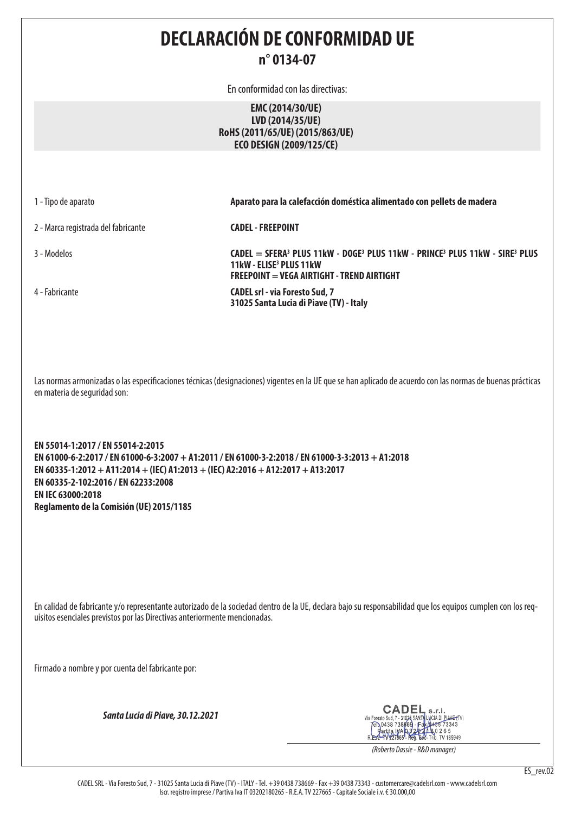**DECLARACIÓN DE CONFORMIDAD UE n° 0134-07**

En conformidad con las directivas:

### **EMC (2014/30/UE) LVD (2014/35/UE) RoHS (2011/65/UE) (2015/863/UE) ECO DESIGN (2009/125/CE)**

2 - Marca registrada del fabricante **CADEL - FREEPOINT**

4 - Fabricante **CADEL srl - via Foresto Sud, 7** 

1 - Tipo de aparato **Aparato para la calefacción doméstica alimentado con pellets de madera**

3 - Modelos **CADEL = SFERA3 PLUS 11kW - DOGE3 PLUS 11kW - PRINCE3 PLUS 11kW - SIRE3 PLUS 11kW - ELISE3 PLUS 11kW FREEPOINT = VEGA AIRTIGHT - TREND AIRTIGHT**

**31025 Santa Lucia di Piave (TV) - Italy**

Las normas armonizadas o las especificaciones técnicas (designaciones) vigentes en la UE que se han aplicado de acuerdo con las normas de buenas prácticas en materia de seguridad son:

**EN 55014-1:2017 / EN 55014-2:2015 EN 61000-6-2:2017 / EN 61000-6-3:2007 + A1:2011 / EN 61000-3-2:2018 / EN 61000-3-3:2013 + A1:2018 EN 60335-1:2012 + A11:2014 + (IEC) A1:2013 + (IEC) A2:2016 + A12:2017 + A13:2017 EN 60335-2-102:2016 / EN 62233:2008 EN IEC 63000:2018 Reglamento de la Comisión (UE) 2015/1185**

En calidad de fabricante y/o representante autorizado de la sociedad dentro de la UE, declara bajo su responsabilidad que los equipos cumplen con los requisitos esenciales previstos por las Directivas anteriormente mencionadas.

Firmado a nombre y por cuenta del fabricante por:

*Santa Lucia di Piave, 30.12.2021*

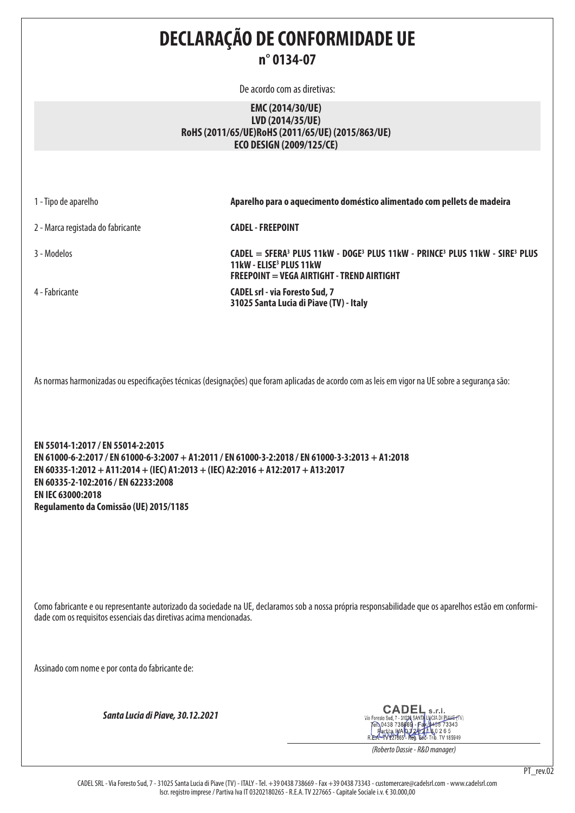**DECLARAÇÃO DE CONFORMIDADE UE n° 0134-07**

De acordo com as diretivas:

### **EMC (2014/30/UE) LVD (2014/35/UE) RoHS (2011/65/UE)RoHS (2011/65/UE) (2015/863/UE) ECO DESIGN (2009/125/CE)**

| 1 - Tipo de aparelho                                                                                                                            | Aparelho para o aquecimento doméstico alimentado com pellets de madeira                                                                                                                                                 |
|-------------------------------------------------------------------------------------------------------------------------------------------------|-------------------------------------------------------------------------------------------------------------------------------------------------------------------------------------------------------------------------|
| 2 - Marca registada do fabricante                                                                                                               | <b>CADEL - FREEPOINT</b>                                                                                                                                                                                                |
| 3 - Modelos                                                                                                                                     | CADEL = SFERA <sup>3</sup> PLUS 11kW - DOGE <sup>3</sup> PLUS 11kW - PRINCE <sup>3</sup> PLUS 11kW - SIRE <sup>3</sup> PLUS<br>11kW - ELISE <sup>3</sup> PLUS 11kW<br><b>FREEPOINT = VEGA AIRTIGHT - TREND AIRTIGHT</b> |
| 4 - Fabricante                                                                                                                                  | <b>CADEL srl - via Foresto Sud, 7</b><br>31025 Santa Lucia di Piave (TV) - Italy                                                                                                                                        |
| As normas harmonizadas ou especificações técnicas (designações) que foram aplicadas de acordo com as leis em vigor na UE sobre a segurança são: |                                                                                                                                                                                                                         |

**EN 55014-1:2017 / EN 55014-2:2015 EN 61000-6-2:2017 / EN 61000-6-3:2007 + A1:2011 / EN 61000-3-2:2018 / EN 61000-3-3:2013 + A1:2018 EN 60335-1:2012 + A11:2014 + (IEC) A1:2013 + (IEC) A2:2016 + A12:2017 + A13:2017 EN 60335-2-102:2016 / EN 62233:2008 EN IEC 63000:2018 Regulamento da Comissão (UE) 2015/1185**

Como fabricante e ou representante autorizado da sociedade na UE, declaramos sob a nossa própria responsabilidade que os aparelhos estão em conformidade com os requisitos essenciais das diretivas acima mencionadas.

Assinado com nome e por conta do fabricante de:

*Santa Lucia di Piave, 30.12.2021*



*(Roberto Dassie - R&D manager)*

CADEL SRL - Via Foresto Sud, 7 - 31025 Santa Lucia di Piave (TV) - ITALY - Tel. +39 0438 738669 - Fax +39 0438 73343 - customercare@cadelsrl.com - www.cadelsrl.com Iscr. registro imprese / Partiva Iva IT 03202180265 - R.E.A. TV 227665 - Capitale Sociale i.v. € 30.000,00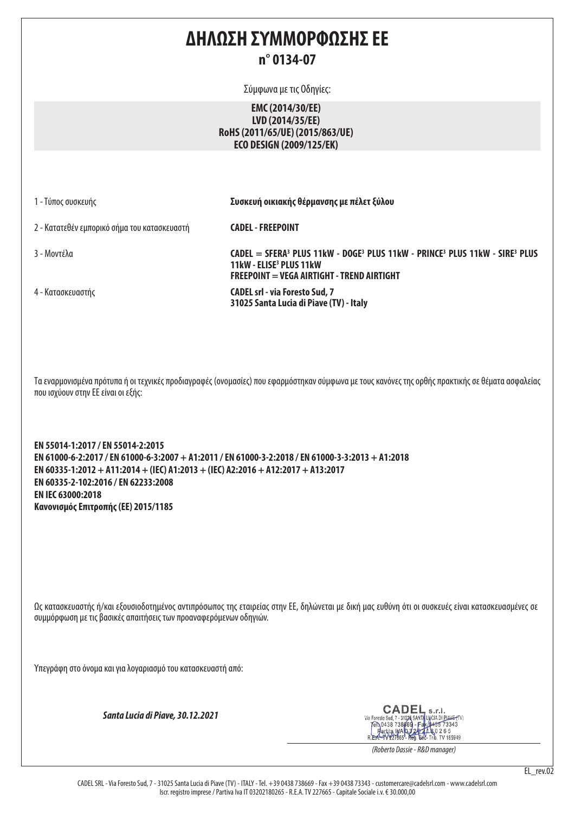## **ΔΗΛΩΣΗ ΣΥΜΜΟΡΦΩΣΗΣ ΕΕ n° 0134-07**

Σύμφωνα με τις Οδηγίες:

## **EMC (2014/30/EE) LVD (2014/35/EE) RoHS (2011/65/UE) (2015/863/UE) ECO DESIGN (2009/125/EK)**

1 - Τύπος συσκευής **Συσκευή οικιακής θέρμανσης με πέλετ ξύλου**

**31025 Santa Lucia di Piave (TV) - Italy**

2 - Κατατεθέν εμπορικό σήμα του κατασκευαστή **CADEL - FREEPOINT**

3 - Μοντέλα **CADEL = SFERA3 PLUS 11kW - DOGE3 PLUS 11kW - PRINCE3 PLUS 11kW - SIRE3 PLUS 11kW - ELISE3 PLUS 11kW FREEPOINT = VEGA AIRTIGHT - TREND AIRTIGHT** 4 - Κατασκευαστής **CADEL srl - via Foresto Sud, 7** 

Τα εναρμονισμένα πρότυπα ή οι τεχνικές προδιαγραφές (ονομασίες) που εφαρμόστηκαν σύμφωνα με τους κανόνες της ορθής πρακτικής σε θέματα ασφαλείας που ισχύουν στην ΕΕ είναι οι εξής:

**EN 55014-1:2017 / EN 55014-2:2015 EN 61000-6-2:2017 / EN 61000-6-3:2007 + A1:2011 / EN 61000-3-2:2018 / EN 61000-3-3:2013 + A1:2018 EN 60335-1:2012 + A11:2014 + (IEC) A1:2013 + (IEC) A2:2016 + A12:2017 + A13:2017 EN 60335-2-102:2016 / EN 62233:2008 EN IEC 63000:2018 Κανονισμός Επιτροπής (ΕΕ) 2015/1185**

Ως κατασκευαστής ή/και εξουσιοδοτημένος αντιπρόσωπος της εταιρείας στην ΕΕ, δηλώνεται με δική μας ευθύνη ότι οι συσκευές είναι κατασκευασμένες σε συμμόρφωση με τις βασικές απαιτήσεις των προαναφερόμενων οδηγιών.

Υπεγράφη στο όνομα και για λογαριασμό του κατασκευαστή από:

*Santa Lucia di Piave, 30.12.2021*

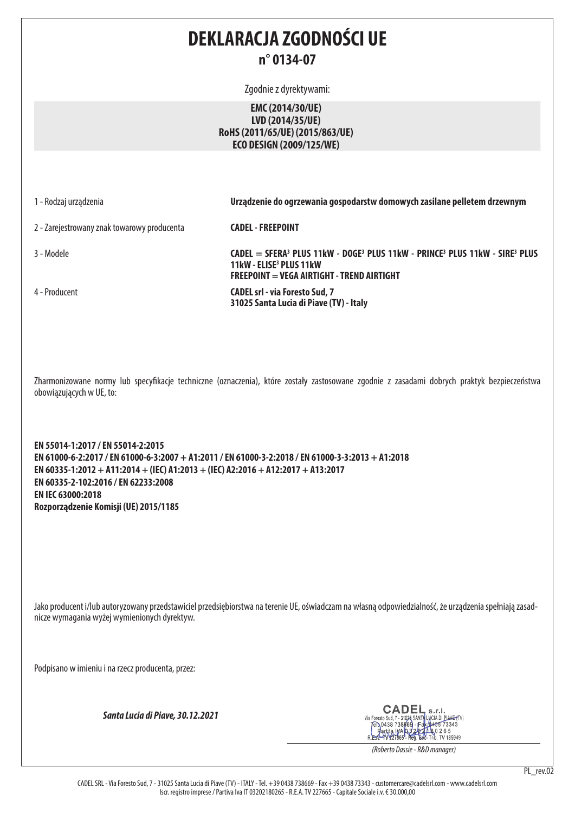# **DEKLARACJA ZGODNOŚCI UE n° 0134-07**

Zgodnie z dyrektywami:

## **EMC (2014/30/UE) LVD (2014/35/UE) RoHS (2011/65/UE) (2015/863/UE) ECO DESIGN (2009/125/WE)**

1 - Rodzaj urządzenia **Urządzenie do ogrzewania gospodarstw domowych zasilane pelletem drzewnym**

2 - Zarejestrowany znak towarowy producenta **CADEL - FREEPOINT**

3 - Modele **CADEL = SFERA3 PLUS 11kW - DOGE3 PLUS 11kW - PRINCE3 PLUS 11kW - SIRE3 PLUS 11kW - ELISE3 PLUS 11kW FREEPOINT = VEGA AIRTIGHT - TREND AIRTIGHT**

4 - Producent **CADEL srl - via Foresto Sud, 7** 

Zharmonizowane normy lub specyfikacje techniczne (oznaczenia), które zostały zastosowane zgodnie z zasadami dobrych praktyk bezpieczeństwa obowiązujących w UE, to:

**31025 Santa Lucia di Piave (TV) - Italy**

**EN 55014-1:2017 / EN 55014-2:2015 EN 61000-6-2:2017 / EN 61000-6-3:2007 + A1:2011 / EN 61000-3-2:2018 / EN 61000-3-3:2013 + A1:2018 EN 60335-1:2012 + A11:2014 + (IEC) A1:2013 + (IEC) A2:2016 + A12:2017 + A13:2017 EN 60335-2-102:2016 / EN 62233:2008 EN IEC 63000:2018 Rozporządzenie Komisji (UE) 2015/1185**

Jako producent i/lub autoryzowany przedstawiciel przedsiębiorstwa na terenie UE, oświadczam na własną odpowiedzialność, że urządzenia spełniają zasadnicze wymagania wyżej wymienionych dyrektyw.

Podpisano w imieniu i na rzecz producenta, przez:

*Santa Lucia di Piave, 30.12.2021*